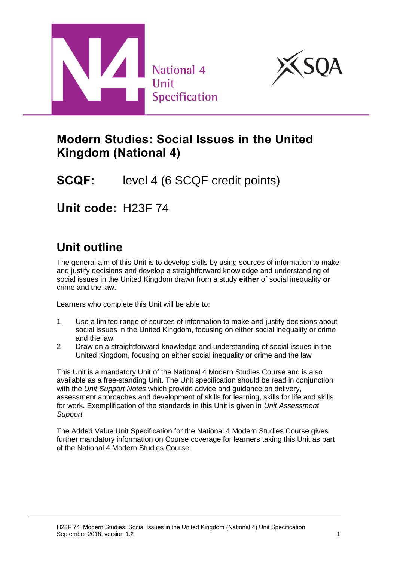



# **Modern Studies: Social Issues in the United Kingdom (National 4)**

**SCQF:** level 4 (6 SCQF credit points)

**Unit code:** H23F 74

# **Unit outline**

The general aim of this Unit is to develop skills by using sources of information to make and justify decisions and develop a straightforward knowledge and understanding of social issues in the United Kingdom drawn from a study **either** of social inequality **or** crime and the law.

Learners who complete this Unit will be able to:

- 1 Use a limited range of sources of information to make and justify decisions about social issues in the United Kingdom, focusing on either social inequality or crime and the law
- 2 Draw on a straightforward knowledge and understanding of social issues in the United Kingdom, focusing on either social inequality or crime and the law

This Unit is a mandatory Unit of the National 4 Modern Studies Course and is also available as a free-standing Unit. The Unit specification should be read in conjunction with the *Unit Support Notes* which provide advice and guidance on delivery, assessment approaches and development of skills for learning, skills for life and skills for work. Exemplification of the standards in this Unit is given in *Unit Assessment Support.*

The Added Value Unit Specification for the National 4 Modern Studies Course gives further mandatory information on Course coverage for learners taking this Unit as part of the National 4 Modern Studies Course.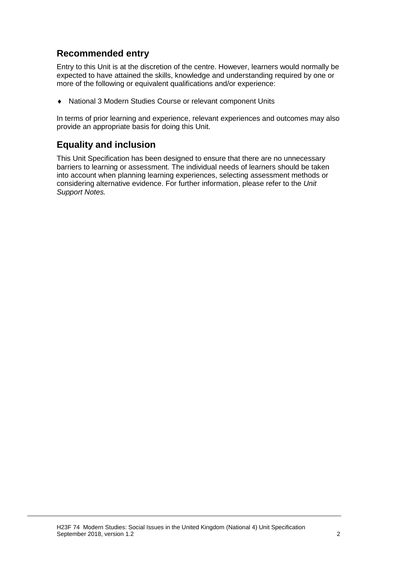## **Recommended entry**

Entry to this Unit is at the discretion of the centre. However, learners would normally be expected to have attained the skills, knowledge and understanding required by one or more of the following or equivalent qualifications and/or experience:

National 3 Modern Studies Course or relevant component Units

In terms of prior learning and experience, relevant experiences and outcomes may also provide an appropriate basis for doing this Unit.

### **Equality and inclusion**

This Unit Specification has been designed to ensure that there are no unnecessary barriers to learning or assessment. The individual needs of learners should be taken into account when planning learning experiences, selecting assessment methods or considering alternative evidence. For further information, please refer to the *Unit Support Notes.*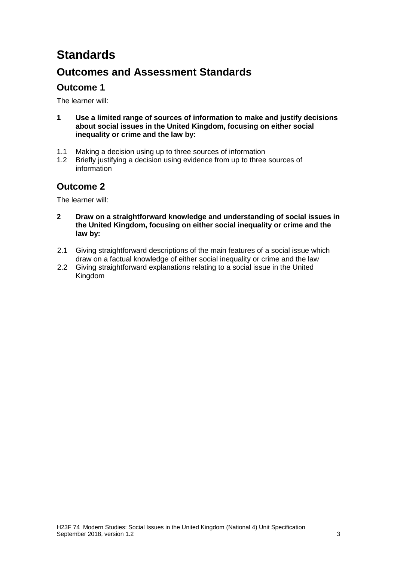# **Standards**

## **Outcomes and Assessment Standards**

## **Outcome 1**

The learner will:

- **1 Use a limited range of sources of information to make and justify decisions about social issues in the United Kingdom, focusing on either social inequality or crime and the law by:**
- 1.1 Making a decision using up to three sources of information
- 1.2 Briefly justifying a decision using evidence from up to three sources of information

## **Outcome 2**

The learner will:

- **2 Draw on a straightforward knowledge and understanding of social issues in the United Kingdom, focusing on either social inequality or crime and the law by:**
- 2.1 Giving straightforward descriptions of the main features of a social issue which draw on a factual knowledge of either social inequality or crime and the law
- 2.2 Giving straightforward explanations relating to a social issue in the United Kingdom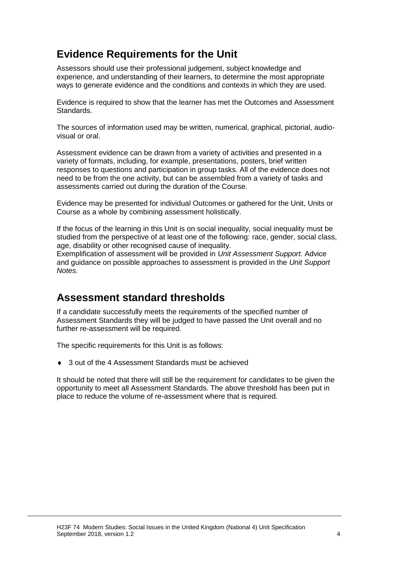## **Evidence Requirements for the Unit**

Assessors should use their professional judgement, subject knowledge and experience, and understanding of their learners, to determine the most appropriate ways to generate evidence and the conditions and contexts in which they are used.

Evidence is required to show that the learner has met the Outcomes and Assessment Standards.

The sources of information used may be written, numerical, graphical, pictorial, audiovisual or oral.

Assessment evidence can be drawn from a variety of activities and presented in a variety of formats, including, for example, presentations, posters, brief written responses to questions and participation in group tasks. All of the evidence does not need to be from the one activity, but can be assembled from a variety of tasks and assessments carried out during the duration of the Course.

Evidence may be presented for individual Outcomes or gathered for the Unit, Units or Course as a whole by combining assessment holistically.

If the focus of the learning in this Unit is on social inequality, social inequality must be studied from the perspective of at least one of the following: race, gender, social class, age, disability or other recognised cause of inequality.

Exemplification of assessment will be provided in *Unit Assessment Support.* Advice and guidance on possible approaches to assessment is provided in the *Unit Support Notes.*

## **Assessment standard thresholds**

If a candidate successfully meets the requirements of the specified number of Assessment Standards they will be judged to have passed the Unit overall and no further re-assessment will be required.

The specific requirements for this Unit is as follows:

◆ 3 out of the 4 Assessment Standards must be achieved

It should be noted that there will still be the requirement for candidates to be given the opportunity to meet all Assessment Standards. The above threshold has been put in place to reduce the volume of re-assessment where that is required.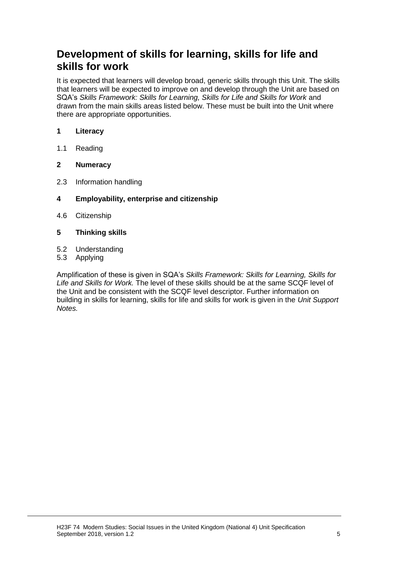## **Development of skills for learning, skills for life and skills for work**

It is expected that learners will develop broad, generic skills through this Unit. The skills that learners will be expected to improve on and develop through the Unit are based on SQA's *Skills Framework: Skills for Learning, Skills for Life and Skills for Work and* drawn from the main skills areas listed below. These must be built into the Unit where there are appropriate opportunities.

#### **1 Literacy**

1.1 Reading

#### **2 Numeracy**

- 2.3 Information handling
- **4 Employability, enterprise and citizenship**
- 4.6 Citizenship
- **5 Thinking skills**
- 5.2 Understanding
- 5.3 Applying

Amplification of these is given in SQA's *Skills Framework: Skills for Learning, Skills for Life and Skills for Work.* The level of these skills should be at the same SCQF level of the Unit and be consistent with the SCQF level descriptor. Further information on building in skills for learning, skills for life and skills for work is given in the *Unit Support Notes.*